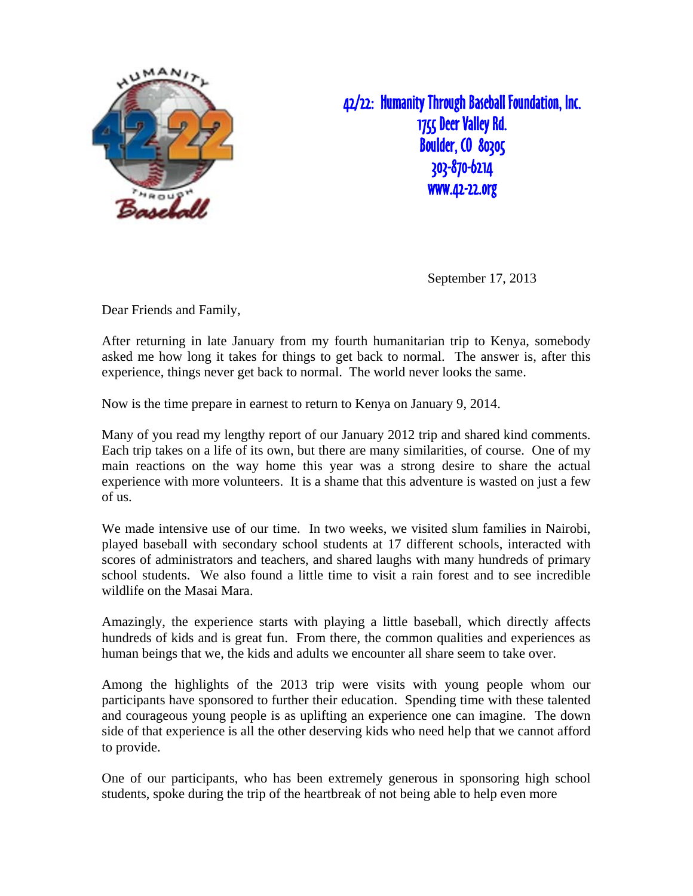

42/22: Humanity Through Baseball Foundation, Inc. 1755 Deer Valley Rd. **Boulder, CO 80305** 303-870-6214 www.42-22.org

September 17, 2013

Dear Friends and Family,

After returning in late January from my fourth humanitarian trip to Kenya, somebody asked me how long it takes for things to get back to normal. The answer is, after this experience, things never get back to normal. The world never looks the same.

Now is the time prepare in earnest to return to Kenya on January 9, 2014.

Many of you read my lengthy report of our January 2012 trip and shared kind comments. Each trip takes on a life of its own, but there are many similarities, of course. One of my main reactions on the way home this year was a strong desire to share the actual experience with more volunteers. It is a shame that this adventure is wasted on just a few of us.

We made intensive use of our time. In two weeks, we visited slum families in Nairobi, played baseball with secondary school students at 17 different schools, interacted with scores of administrators and teachers, and shared laughs with many hundreds of primary school students. We also found a little time to visit a rain forest and to see incredible wildlife on the Masai Mara.

Amazingly, the experience starts with playing a little baseball, which directly affects hundreds of kids and is great fun. From there, the common qualities and experiences as human beings that we, the kids and adults we encounter all share seem to take over.

Among the highlights of the 2013 trip were visits with young people whom our participants have sponsored to further their education. Spending time with these talented and courageous young people is as uplifting an experience one can imagine. The down side of that experience is all the other deserving kids who need help that we cannot afford to provide.

One of our participants, who has been extremely generous in sponsoring high school students, spoke during the trip of the heartbreak of not being able to help even more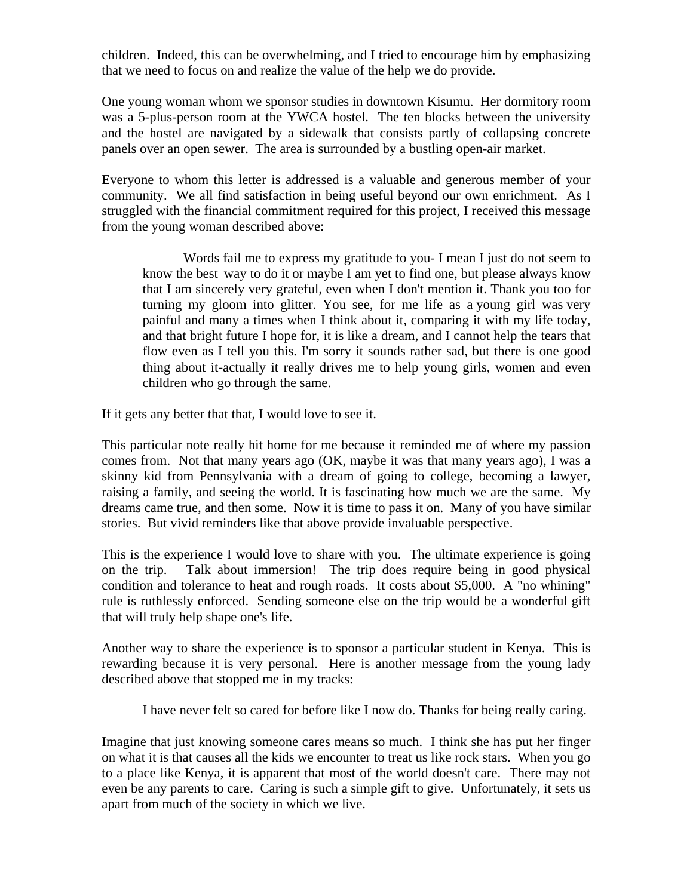children. Indeed, this can be overwhelming, and I tried to encourage him by emphasizing that we need to focus on and realize the value of the help we do provide.

One young woman whom we sponsor studies in downtown Kisumu. Her dormitory room was a 5-plus-person room at the YWCA hostel. The ten blocks between the university and the hostel are navigated by a sidewalk that consists partly of collapsing concrete panels over an open sewer. The area is surrounded by a bustling open-air market.

Everyone to whom this letter is addressed is a valuable and generous member of your community. We all find satisfaction in being useful beyond our own enrichment. As I struggled with the financial commitment required for this project, I received this message from the young woman described above:

 Words fail me to express my gratitude to you- I mean I just do not seem to know the best way to do it or maybe I am yet to find one, but please always know that I am sincerely very grateful, even when I don't mention it. Thank you too for turning my gloom into glitter. You see, for me life as a young girl was very painful and many a times when I think about it, comparing it with my life today, and that bright future I hope for, it is like a dream, and I cannot help the tears that flow even as I tell you this. I'm sorry it sounds rather sad, but there is one good thing about it-actually it really drives me to help young girls, women and even children who go through the same.

If it gets any better that that, I would love to see it.

This particular note really hit home for me because it reminded me of where my passion comes from. Not that many years ago (OK, maybe it was that many years ago), I was a skinny kid from Pennsylvania with a dream of going to college, becoming a lawyer, raising a family, and seeing the world. It is fascinating how much we are the same. My dreams came true, and then some. Now it is time to pass it on. Many of you have similar stories. But vivid reminders like that above provide invaluable perspective.

This is the experience I would love to share with you. The ultimate experience is going on the trip. Talk about immersion! The trip does require being in good physical condition and tolerance to heat and rough roads. It costs about \$5,000. A "no whining" rule is ruthlessly enforced. Sending someone else on the trip would be a wonderful gift that will truly help shape one's life.

Another way to share the experience is to sponsor a particular student in Kenya. This is rewarding because it is very personal. Here is another message from the young lady described above that stopped me in my tracks:

I have never felt so cared for before like I now do. Thanks for being really caring.

Imagine that just knowing someone cares means so much. I think she has put her finger on what it is that causes all the kids we encounter to treat us like rock stars. When you go to a place like Kenya, it is apparent that most of the world doesn't care. There may not even be any parents to care. Caring is such a simple gift to give. Unfortunately, it sets us apart from much of the society in which we live.